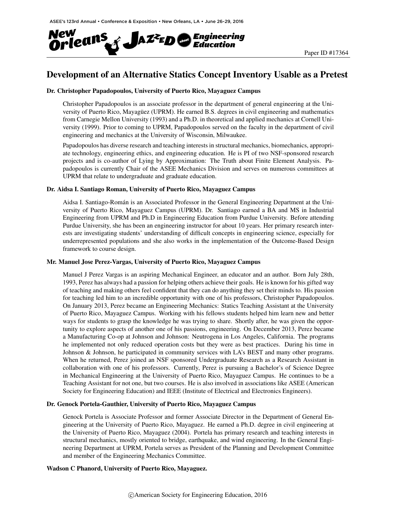

# Development of an Alternative Statics Concept Inventory Usable as a Pretest

### Dr. Christopher Papadopoulos, University of Puerto Rico, Mayaguez Campus

Christopher Papadopoulos is an associate professor in the department of general engineering at the University of Puerto Rico, Mayaguez (UPRM). He earned B.S. degrees in civil engineering and mathematics ¨ from Carnegie Mellon University (1993) and a Ph.D. in theoretical and applied mechanics at Cornell University (1999). Prior to coming to UPRM, Papadopoulos served on the faculty in the department of civil engineering and mechanics at the University of Wisconsin, Milwaukee.

Papadopoulos has diverse research and teaching interests in structural mechanics, biomechanics, appropriate technology, engineering ethics, and engineering education. He is PI of two NSF-sponsored research projects and is co-author of Lying by Approximation: The Truth about Finite Element Analysis. Papadopoulos is currently Chair of the ASEE Mechanics Division and serves on numerous committees at UPRM that relate to undergraduate and graduate education.

### Dr. Aidsa I. Santiago Roman, University of Puerto Rico, Mayaguez Campus

Aidsa I. Santiago-Roman is an Associated Professor in the General Engineering Department at the Uni- ´ versity of Puerto Rico, Mayaguez Campus (UPRM). Dr. Santiago earned a BA and MS in Industrial Engineering from UPRM and Ph.D in Engineering Education from Purdue University. Before attending Purdue University, she has been an engineering instructor for about 10 years. Her primary research interests are investigating students' understanding of difficult concepts in engineering science, especially for underrepresented populations and she also works in the implementation of the Outcome-Based Design framework to course design.

### Mr. Manuel Jose Perez-Vargas, University of Puerto Rico, Mayaguez Campus

Manuel J Perez Vargas is an aspiring Mechanical Engineer, an educator and an author. Born July 28th, 1993, Perez has always had a passion for helping others achieve their goals. He is known for his gifted way of teaching and making others feel confident that they can do anything they set their minds to. His passion for teaching led him to an incredible opportunity with one of his professors, Christopher Papadopoulos. On January 2013, Perez became an Engineering Mechanics: Statics Teaching Assistant at the University of Puerto Rico, Mayaguez Campus. Working with his fellows students helped him learn new and better ways for students to grasp the knowledge he was trying to share. Shortly after, he was given the opportunity to explore aspects of another one of his passions, engineering. On December 2013, Perez became a Manufacturing Co-op at Johnson and Johnson: Neutrogena in Los Angeles, California. The programs he implemented not only reduced operation costs but they were as best practices. During his time in Johnson & Johnson, he participated in community services with LA's BEST and many other programs. When he returned, Perez joined an NSF sponsored Undergraduate Research as a Research Assistant in collaboration with one of his professors. Currently, Perez is pursuing a Bachelor's of Science Degree in Mechanical Engineering at the University of Puerto Rico, Mayaguez Campus. He continues to be a Teaching Assistant for not one, but two courses. He is also involved in associations like ASEE (American Society for Engineering Education) and IEEE (Institute of Electrical and Electronics Engineers).

### Dr. Genock Portela-Gauthier, University of Puerto Rico, Mayaguez Campus

Genock Portela is Associate Professor and former Associate Director in the Department of General Engineering at the University of Puerto Rico, Mayaguez. He earned a Ph.D. degree in civil engineering at the University of Puerto Rico, Mayaguez (2004). Portela has primary research and teaching interests in structural mechanics, mostly oriented to bridge, earthquake, and wind engineering. In the General Engineering Department at UPRM, Portela serves as President of the Planning and Development Committee and member of the Engineering Mechanics Committee.

### Wadson C Phanord, University of Puerto Rico, Mayaguez.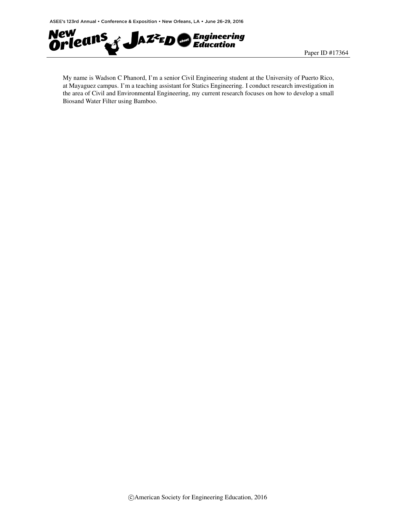

My name is Wadson C Phanord, I'm a senior Civil Engineering student at the University of Puerto Rico, at Mayaguez campus. I'm a teaching assistant for Statics Engineering. I conduct research investigation in the area of Civil and Environmental Engineering, my current research focuses on how to develop a small Biosand Water Filter using Bamboo.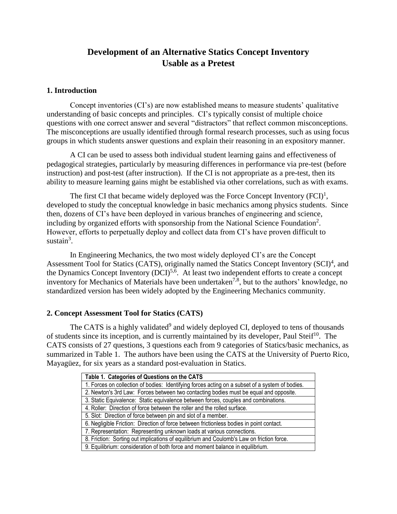# **Development of an Alternative Statics Concept Inventory Usable as a Pretest**

## **1. Introduction**

Concept inventories (CI's) are now established means to measure students' qualitative understanding of basic concepts and principles. CI's typically consist of multiple choice questions with one correct answer and several "distractors" that reflect common misconceptions. The misconceptions are usually identified through formal research processes, such as using focus groups in which students answer questions and explain their reasoning in an expository manner.

A CI can be used to assess both individual student learning gains and effectiveness of pedagogical strategies, particularly by measuring differences in performance via pre-test (before instruction) and post-test (after instruction). If the CI is not appropriate as a pre-test, then its ability to measure learning gains might be established via other correlations, such as with exams.

The first CI that became widely deployed was the Force Concept Inventory  $(FCI)^1$ , developed to study the conceptual knowledge in basic mechanics among physics students. Since then, dozens of CI's have been deployed in various branches of engineering and science, including by organized efforts with sponsorship from the National Science Foundation<sup>2</sup>. However, efforts to perpetually deploy and collect data from CI's have proven difficult to sustain $3$ .

In Engineering Mechanics, the two most widely deployed CI's are the Concept Assessment Tool for Statics (CATS), originally named the Statics Concept Inventory (SCI)<sup>4</sup>, and the Dynamics Concept Inventory (DCI)<sup>5,6</sup>. At least two independent efforts to create a concept inventory for Mechanics of Materials have been undertaken<sup>7,8</sup>, but to the authors' knowledge, no standardized version has been widely adopted by the Engineering Mechanics community.

## **2. Concept Assessment Tool for Statics (CATS)**

The CATS is a highly validated<sup>9</sup> and widely deployed CI, deployed to tens of thousands of students since its inception, and is currently maintained by its developer, Paul Steif<sup>10</sup>. The CATS consists of 27 questions, 3 questions each from 9 categories of Statics/basic mechanics, as summarized in Table 1. The authors have been using the CATS at the University of Puerto Rico, Mayagüez, for six years as a standard post-evaluation in Statics.

| Table 1. Categories of Questions on the CATS                                                    |
|-------------------------------------------------------------------------------------------------|
| 1. Forces on collection of bodies: Identifying forces acting on a subset of a system of bodies. |
| 2. Newton's 3rd Law: Forces between two contacting bodies must be equal and opposite.           |
| 3. Static Equivalence: Static equivalence between forces, couples and combinations.             |
| 4. Roller: Direction of force between the roller and the rolled surface.                        |
| 5. Slot: Direction of force between pin and slot of a member.                                   |
| 6. Negligible Friction: Direction of force between frictionless bodies in point contact.        |
| 7. Representation: Representing unknown loads at various connections.                           |
| 8. Friction: Sorting out implications of equilibrium and Coulomb's Law on friction force.       |
| 9. Equilibrium: consideration of both force and moment balance in equilibrium.                  |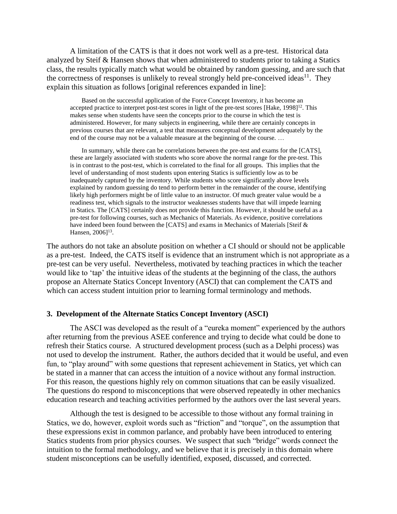A limitation of the CATS is that it does not work well as a pre-test. Historical data analyzed by Steif & Hansen shows that when administered to students prior to taking a Statics class, the results typically match what would be obtained by random guessing, and are such that the correctness of responses is unlikely to reveal strongly held pre-conceived ideas<sup>11</sup>. They explain this situation as follows [original references expanded in line]:

Based on the successful application of the Force Concept Inventory, it has become an accepted practice to interpret post-test scores in light of the pre-test scores [Hake, 1998]<sup>12</sup>. This makes sense when students have seen the concepts prior to the course in which the test is administered. However, for many subjects in engineering, while there are certainly concepts in previous courses that are relevant, a test that measures conceptual development adequately by the end of the course may not be a valuable measure at the beginning of the course. …

In summary, while there can be correlations between the pre-test and exams for the [CATS], these are largely associated with students who score above the normal range for the pre-test. This is in contrast to the post-test, which is correlated to the final for all groups. This implies that the level of understanding of most students upon entering Statics is sufficiently low as to be inadequately captured by the inventory. While students who score significantly above levels explained by random guessing do tend to perform better in the remainder of the course, identifying likely high performers might be of little value to an instructor. Of much greater value would be a readiness test, which signals to the instructor weaknesses students have that will impede learning in Statics. The [CATS] certainly does not provide this function. However, it should be useful as a pre-test for following courses, such as Mechanics of Materials. As evidence, positive correlations have indeed been found between the [CATS] and exams in Mechanics of Materials [Steif & Hansen,  $2006$ <sup>13</sup>.

The authors do not take an absolute position on whether a CI should or should not be applicable as a pre-test. Indeed, the CATS itself is evidence that an instrument which is not appropriate as a pre-test can be very useful. Nevertheless, motivated by teaching practices in which the teacher would like to 'tap' the intuitive ideas of the students at the beginning of the class, the authors propose an Alternate Statics Concept Inventory (ASCI) that can complement the CATS and which can access student intuition prior to learning formal terminology and methods.

### **3. Development of the Alternate Statics Concept Inventory (ASCI)**

The ASCI was developed as the result of a "eureka moment" experienced by the authors after returning from the previous ASEE conference and trying to decide what could be done to refresh their Statics course. A structured development process (such as a Delphi process) was not used to develop the instrument. Rather, the authors decided that it would be useful, and even fun, to "play around" with some questions that represent achievement in Statics, yet which can be stated in a manner that can access the intuition of a novice without any formal instruction. For this reason, the questions highly rely on common situations that can be easily visualized. The questions do respond to misconceptions that were observed repeatedly in other mechanics education research and teaching activities performed by the authors over the last several years.

Although the test is designed to be accessible to those without any formal training in Statics, we do, however, exploit words such as "friction" and "torque", on the assumption that these expressions exist in common parlance, and probably have been introduced to entering Statics students from prior physics courses. We suspect that such "bridge" words connect the intuition to the formal methodology, and we believe that it is precisely in this domain where student misconceptions can be usefully identified, exposed, discussed, and corrected.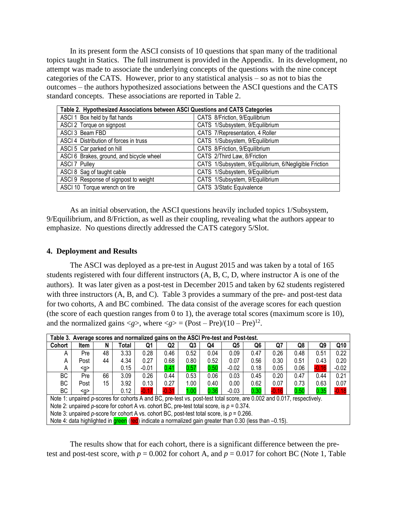In its present form the ASCI consists of 10 questions that span many of the traditional topics taught in Statics. The full instrument is provided in the Appendix. In its development, no attempt was made to associate the underlying concepts of the questions with the nine concept categories of the CATS. However, prior to any statistical analysis – so as not to bias the outcomes – the authors hypothesized associations between the ASCI questions and the CATS standard concepts. These associations are reported in Table 2.

| Table 2. Hypothesized Associations between ASCI Questions and CATS Categories |                                                        |  |  |  |  |  |  |  |
|-------------------------------------------------------------------------------|--------------------------------------------------------|--|--|--|--|--|--|--|
| ASCI 1 Box held by flat hands                                                 | CATS 8/Friction, 9/Equilibrium                         |  |  |  |  |  |  |  |
| ASCI 2 Torque on signpost                                                     | CATS 1/Subsystem, 9/Equilibrium                        |  |  |  |  |  |  |  |
| ASCI 3 Beam FBD                                                               | CATS 7/Representation, 4 Roller                        |  |  |  |  |  |  |  |
| ASCI 4 Distribution of forces in truss                                        | CATS 1/Subsystem, 9/Equilibrium                        |  |  |  |  |  |  |  |
| ASCI 5 Car parked on hill                                                     | CATS 8/Friction, 9/Equilibrium                         |  |  |  |  |  |  |  |
| ASCI 6 Brakes, ground, and bicycle wheel                                      | CATS 2/Third Law, 8/Friction                           |  |  |  |  |  |  |  |
| <b>ASCI 7 Pulley</b>                                                          | CATS 1/Subsystem, 9/Equilibrium, 6/Negligible Friction |  |  |  |  |  |  |  |
| ASCI 8 Sag of taught cable                                                    | CATS 1/Subsystem, 9/Equilibrium                        |  |  |  |  |  |  |  |
| ASCI 9 Response of signpost to weight                                         | CATS 1/Subsystem, 9/Equilibrium                        |  |  |  |  |  |  |  |
| ASCI 10 Torque wrench on tire                                                 | CATS 3/Static Equivalence                              |  |  |  |  |  |  |  |

As an initial observation, the ASCI questions heavily included topics 1/Subsystem, 9/Equilibrium, and 8/Friction, as well as their coupling, revealing what the authors appear to emphasize. No questions directly addressed the CATS category 5/Slot.

## **4. Deployment and Results**

The ASCI was deployed as a pre-test in August 2015 and was taken by a total of 165 students registered with four different instructors (A, B, C, D, where instructor A is one of the authors). It was later given as a post-test in December 2015 and taken by 62 students registered with three instructors (A, B, and C). Table 3 provides a summary of the pre- and post-test data for two cohorts, A and BC combined. The data consist of the average scores for each question (the score of each question ranges from 0 to 1), the average total scores (maximum score is 10), and the normalized gains  $\langle g \rangle$ , where  $\langle g \rangle = (Post - Pre)/(10 - Pre)^{12}$ .

| Table 3. Average scores and normalized gains on the ASCI Pre-test and Post-test.                                       |             |    |       |             |                |      |      |                |      |         |      |         |         |
|------------------------------------------------------------------------------------------------------------------------|-------------|----|-------|-------------|----------------|------|------|----------------|------|---------|------|---------|---------|
| Cohort                                                                                                                 | <b>Item</b> | N  | Total | Q1          | Q <sub>2</sub> | Q3   | Q4   | Q <sub>5</sub> | Q6   | Q7      | Q8   | Q9      | Q10     |
| A                                                                                                                      | Pre         | 48 | 3.33  | 0.28        | 0.46           | 0.52 | 0.04 | 0.09           | 0.47 | 0.26    | 0.48 | 0.51    | 0.22    |
| A                                                                                                                      | Post        | 44 | 4.34  | 0.27        | 0.68           | 0.80 | 0.52 | 0.07           | 0.56 | 0.30    | 0.51 | 0.43    | 0.20    |
| A                                                                                                                      | <g></g>     |    | 0.15  | $-0.01$     | 0.41           | 0.57 | 0.50 | $-0.02$        | 0.18 | 0.05    | 0.06 | $-0.16$ | $-0.02$ |
| BC.                                                                                                                    | Pre         | 66 | 3.09  | 0.26        | 0.44           | 0.53 | 0.06 | 0.03           | 0.45 | 0.20    | 0.47 | 0.44    | 0.21    |
| ВC                                                                                                                     | Post        | 15 | 3.92  | 0.13        | 0.27           | 1.00 | 0.40 | 0.00           | 0.62 | 0.07    | 0.73 | 0.63    | 0.07    |
| ВC                                                                                                                     | $q$         |    | 0.12  | <b>0.17</b> | $-0.31$        | 1.00 | 0.36 | $-0.03$        | 0.30 | $-0.16$ | 0.50 | 0.35    | $-0.18$ |
| Note 1: unpaired p-scores for cohorts A and BC, pre-test vs. post-test total score, are 0.002 and 0.017, respectively. |             |    |       |             |                |      |      |                |      |         |      |         |         |
| Note 2: unpaired p-score for cohort A vs. cohort BC, pre-test total score, is $p = 0.374$ .                            |             |    |       |             |                |      |      |                |      |         |      |         |         |
| Note 3: unpaired p-score for cohort A vs. cohort BC, post-test total score, is $p = 0.266$ .                           |             |    |       |             |                |      |      |                |      |         |      |         |         |
| Note 4: data highlighted in green (red) indicate a normalized gain greater than 0.30 (less than $-0.15$ ).             |             |    |       |             |                |      |      |                |      |         |      |         |         |

The results show that for each cohort, there is a significant difference between the pretest and post-test score, with  $p = 0.002$  for cohort A, and  $p = 0.017$  for cohort BC (Note 1, Table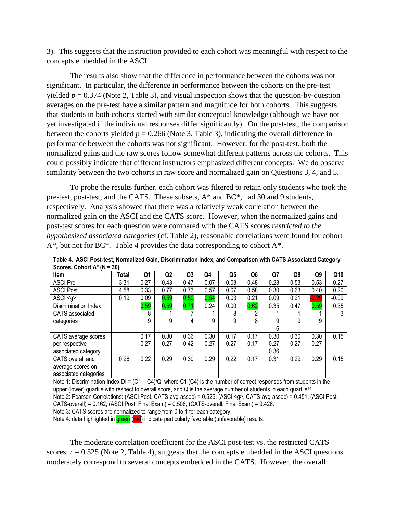3). This suggests that the instruction provided to each cohort was meaningful with respect to the concepts embedded in the ASCI.

The results also show that the difference in performance between the cohorts was not significant. In particular, the difference in performance between the cohorts on the pre-test yielded  $p = 0.374$  (Note 2, Table 3), and visual inspection shows that the question-by-question averages on the pre-test have a similar pattern and magnitude for both cohorts. This suggests that students in both cohorts started with similar conceptual knowledge (although we have not yet investigated if the individual responses differ significantly). On the post-test, the comparison between the cohorts yielded  $p = 0.266$  (Note 3, Table 3), indicating the overall difference in performance between the cohorts was not significant. However, for the post-test, both the normalized gains and the raw scores follow somewhat different patterns across the cohorts. This could possibly indicate that different instructors emphasized different concepts. We do observe similarity between the two cohorts in raw score and normalized gain on Questions 3, 4, and 5.

To probe the results further, each cohort was filtered to retain only students who took the pre-test, post-test, and the CATS. These subsets, A\* and BC\*, had 30 and 9 students, respectively. Analysis showed that there was a relatively weak correlation between the normalized gain on the ASCI and the CATS score. However, when the normalized gains and post-test scores for each question were compared with the CATS scores *restricted to the hypothesized associated categories* (cf. Table 2), reasonable correlations were found for cohort  $A^*$ , but not for BC\*. Table 4 provides the data corresponding to cohort  $A^*$ .

| Scores, Cohort $A^*$ (N = 30)                                                                                                  |       |      |                |                |      |      |      |      |      |         |         |
|--------------------------------------------------------------------------------------------------------------------------------|-------|------|----------------|----------------|------|------|------|------|------|---------|---------|
| <b>Item</b>                                                                                                                    | Total | Q1   | Q <sub>2</sub> | Q <sub>3</sub> | Q4   | Q5   | Q6   | Q7   | Q8   | Q9      | Q10     |
| <b>ASCI Pre</b>                                                                                                                | 3.31  | 0.27 | 0.43           | 0.47           | 0.07 | 0.03 | 0.48 | 0.23 | 0.53 | 0.53    | 0.27    |
| <b>ASCI Post</b>                                                                                                               | 4.58  | 0.33 | 0.77           | 0.73           | 0.57 | 0.07 | 0.58 | 0.30 | 0.63 | 0.40    | 0.20    |
| ASCI < g                                                                                                                       | 0.19  | 0.09 | 0.59           | 0.50           | 0.54 | 0.03 | 0.21 | 0.09 | 0.21 | $-0.29$ | $-0.09$ |
| Discrimination Index                                                                                                           |       | 0.59 | 0.59           | 0.71           | 0.24 | 0.00 | 0.62 | 0.35 | 0.47 | 0.59    | 0.35    |
| CATS associated                                                                                                                |       | 8    |                |                |      | 8    | 2    |      |      |         | 3       |
| categories                                                                                                                     |       | 9    | 9              | 4              | 9    | 9    | 8    | 9    | 9    | 9       |         |
|                                                                                                                                |       |      |                |                |      |      |      | 6    |      |         |         |
| CATS average scores                                                                                                            |       | 0.17 | 0.30           | 0.36           | 0.30 | 0.17 | 0.17 | 0.30 | 0.30 | 0.30    | 0.15    |
| per respective                                                                                                                 |       | 0.27 | 0.27           | 0.42           | 0.27 | 0.27 | 0.17 | 0.27 | 0.27 | 0.27    |         |
| associated category                                                                                                            |       |      |                |                |      |      |      | 0.36 |      |         |         |
| CATS overall and                                                                                                               | 0.26  | 0.22 | 0.29           | 0.39           | 0.29 | 0.22 | 0.17 | 0.31 | 0.29 | 0.29    | 0.15    |
| average scores on                                                                                                              |       |      |                |                |      |      |      |      |      |         |         |
| associated categories                                                                                                          |       |      |                |                |      |      |      |      |      |         |         |
| Note 1: Discrimination Index DI = $(C1 - C4)/Q$ , where C1 $(C4)$ is the number of correct responses from students in the      |       |      |                |                |      |      |      |      |      |         |         |
| upper (lower) quartile with respect to overall score, and Q is the average number of students in each quartile <sup>14</sup> . |       |      |                |                |      |      |      |      |      |         |         |
| Note 2: Pearson Correlations: (ASCI Post, CATS-avg-assoc) = 0.525; (ASCI <g>, CATS-avg-assoc) = 0.451; (ASCI Post,</g>         |       |      |                |                |      |      |      |      |      |         |         |
| CATS-overall) = 0.162; (ASCI Post, Final Exam) = 0.508; (CATS-overall, Final Exam) = 0.426.                                    |       |      |                |                |      |      |      |      |      |         |         |
| Note 3: CATS scores are normalized to range from 0 to 1 for each category.                                                     |       |      |                |                |      |      |      |      |      |         |         |
| Note 4: data highlighted in green (red) indicate particularly favorable (unfavorable) results.                                 |       |      |                |                |      |      |      |      |      |         |         |

**Table 4. ASCI Post-test, Normalized Gain, Discrimination Index, and Comparison with CATS Associated Category** 

The moderate correlation coefficient for the ASCI post-test vs. the restricted CATS scores,  $r = 0.525$  (Note 2, Table 4), suggests that the concepts embedded in the ASCI questions moderately correspond to several concepts embedded in the CATS. However, the overall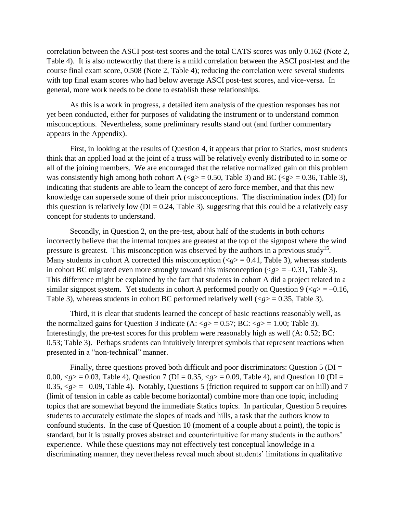correlation between the ASCI post-test scores and the total CATS scores was only 0.162 (Note 2, Table 4). It is also noteworthy that there is a mild correlation between the ASCI post-test and the course final exam score, 0.508 (Note 2, Table 4); reducing the correlation were several students with top final exam scores who had below average ASCI post-test scores, and vice-versa. In general, more work needs to be done to establish these relationships.

As this is a work in progress, a detailed item analysis of the question responses has not yet been conducted, either for purposes of validating the instrument or to understand common misconceptions. Nevertheless, some preliminary results stand out (and further commentary appears in the Appendix).

First, in looking at the results of Question 4, it appears that prior to Statics, most students think that an applied load at the joint of a truss will be relatively evenly distributed to in some or all of the joining members. We are encouraged that the relative normalized gain on this problem was consistently high among both cohort A ( $\langle g \rangle = 0.50$ , Table 3) and BC ( $\langle g \rangle = 0.36$ , Table 3), indicating that students are able to learn the concept of zero force member, and that this new knowledge can supersede some of their prior misconceptions. The discrimination index (DI) for this question is relatively low ( $DI = 0.24$ , Table 3), suggesting that this could be a relatively easy concept for students to understand.

Secondly, in Question 2, on the pre-test, about half of the students in both cohorts incorrectly believe that the internal torques are greatest at the top of the signpost where the wind pressure is greatest. This misconception was observed by the authors in a previous study<sup>15</sup>. Many students in cohort A corrected this misconception  $(*g*) = 0.41$ , Table 3), whereas students in cohort BC migrated even more strongly toward this misconception  $\langle \langle g \rangle = -0.31$ , Table 3). This difference might be explained by the fact that students in cohort A did a project related to a similar signpost system. Yet students in cohort A performed poorly on Question 9 ( $\langle g \rangle$  = -0.16, Table 3), whereas students in cohort BC performed relatively well  $\langle \langle g \rangle = 0.35$ , Table 3).

Third, it is clear that students learned the concept of basic reactions reasonably well, as the normalized gains for Question 3 indicate  $(A: \langle g \rangle = 0.57; BC: \langle g \rangle = 1.00; Table 3)$ . Interestingly, the pre-test scores for this problem were reasonably high as well (A: 0.52; BC: 0.53; Table 3). Perhaps students can intuitively interpret symbols that represent reactions when presented in a "non-technical" manner.

Finally, three questions proved both difficult and poor discriminators: Question  $5 (DI =$ 0.00,  $\langle g \rangle = 0.03$ , Table 4), Question 7 (DI = 0.35,  $\langle g \rangle = 0.09$ , Table 4), and Question 10 (DI = 0.35,  $\langle g \rangle = -0.09$ , Table 4). Notably, Questions 5 (friction required to support car on hill) and 7 (limit of tension in cable as cable become horizontal) combine more than one topic, including topics that are somewhat beyond the immediate Statics topics. In particular, Question 5 requires students to accurately estimate the slopes of roads and hills, a task that the authors know to confound students. In the case of Question 10 (moment of a couple about a point), the topic is standard, but it is usually proves abstract and counterintuitive for many students in the authors' experience. While these questions may not effectively test conceptual knowledge in a discriminating manner, they nevertheless reveal much about students' limitations in qualitative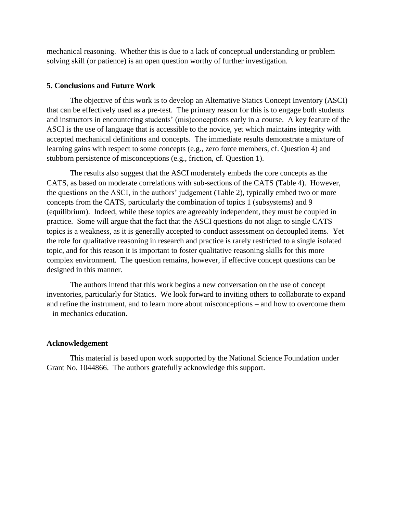mechanical reasoning. Whether this is due to a lack of conceptual understanding or problem solving skill (or patience) is an open question worthy of further investigation.

## **5. Conclusions and Future Work**

The objective of this work is to develop an Alternative Statics Concept Inventory (ASCI) that can be effectively used as a pre-test. The primary reason for this is to engage both students and instructors in encountering students' (mis)conceptions early in a course. A key feature of the ASCI is the use of language that is accessible to the novice, yet which maintains integrity with accepted mechanical definitions and concepts. The immediate results demonstrate a mixture of learning gains with respect to some concepts (e.g., zero force members, cf. Question 4) and stubborn persistence of misconceptions (e.g., friction, cf. Question 1).

The results also suggest that the ASCI moderately embeds the core concepts as the CATS, as based on moderate correlations with sub-sections of the CATS (Table 4). However, the questions on the ASCI, in the authors' judgement (Table 2), typically embed two or more concepts from the CATS, particularly the combination of topics 1 (subsystems) and 9 (equilibrium). Indeed, while these topics are agreeably independent, they must be coupled in practice. Some will argue that the fact that the ASCI questions do not align to single CATS topics is a weakness, as it is generally accepted to conduct assessment on decoupled items. Yet the role for qualitative reasoning in research and practice is rarely restricted to a single isolated topic, and for this reason it is important to foster qualitative reasoning skills for this more complex environment. The question remains, however, if effective concept questions can be designed in this manner.

The authors intend that this work begins a new conversation on the use of concept inventories, particularly for Statics. We look forward to inviting others to collaborate to expand and refine the instrument, and to learn more about misconceptions – and how to overcome them – in mechanics education.

## **Acknowledgement**

This material is based upon work supported by the National Science Foundation under Grant No. 1044866. The authors gratefully acknowledge this support.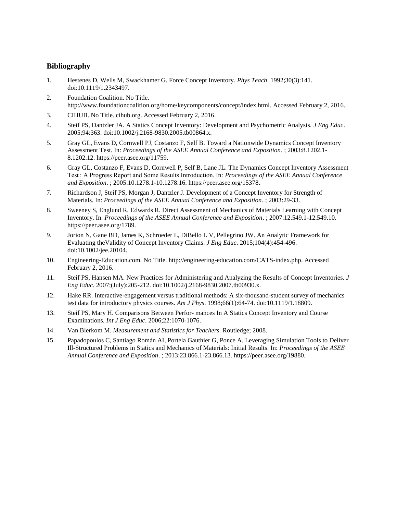## **Bibliography**

- 1. Hestenes D, Wells M, Swackhamer G. Force Concept Inventory. *Phys Teach*. 1992;30(3):141. doi:10.1119/1.2343497.
- 2. Foundation Coalition. No Title. http://www.foundationcoalition.org/home/keycomponents/concept/index.html. Accessed February 2, 2016.
- 3. CIHUB. No Title. cihub.org. Accessed February 2, 2016.
- 4. Steif PS, Dantzler JA. A Statics Concept Inventory: Development and Psychometric Analysis. *J Eng Educ*. 2005;94:363. doi:10.1002/j.2168-9830.2005.tb00864.x.
- 5. Gray GL, Evans D, Cornwell PJ, Costanzo F, Self B. Toward a Nationwide Dynamics Concept Inventory Assessment Test. In: *Proceedings of the ASEE Annual Conference and Exposition*. ; 2003:8.1202.1- 8.1202.12. https://peer.asee.org/11759.
- 6. Gray GL, Costanzo F, Evans D, Cornwell P, Self B, Lane JL. The Dynamics Concept Inventory Assessment Test : A Progress Report and Some Results Introduction. In: *Proceedings of the ASEE Annual Conference and Exposition*. ; 2005:10.1278.1-10.1278.16. https://peer.asee.org/15378.
- 7. Richardson J, Steif PS, Morgan J, Dantzler J. Development of a Concept Inventory for Strength of Materials. In: *Proceedings of the ASEE Annual Conference and Exposition*. ; 2003:29-33.
- 8. Sweeney S, Englund R, Edwards R. Direct Assessment of Mechanics of Materials Learning with Concept Inventory. In: *Proceedings of the ASEE Annual Conference and Exposition*. ; 2007:12.549.1-12.549.10. https://peer.asee.org/1789.
- 9. Jorion N, Gane BD, James K, Schroeder L, DiBello L V, Pellegrino JW. An Analytic Framework for Evaluating theValidity of Concept Inventory Claims. *J Eng Educ*. 2015;104(4):454-496. doi:10.1002/jee.20104.
- 10. Engineering-Education.com. No Title. http://engineering-education.com/CATS-index.php. Accessed February 2, 2016.
- 11. Steif PS, Hansen MA. New Practices for Administering and Analyzing the Results of Concept Inventories. *J Eng Educ*. 2007;(July):205-212. doi:10.1002/j.2168-9830.2007.tb00930.x.
- 12. Hake RR. Interactive-engagement versus traditional methods: A six-thousand-student survey of mechanics test data for introductory physics courses. *Am J Phys*. 1998;66(1):64-74. doi:10.1119/1.18809.
- 13. Steif PS, Mary H. Comparisons Between Perfor- mances In A Statics Concept Inventory and Course Examinations. *Int J Eng Educ*. 2006;22:1070-1076.
- 14. Van Blerkom M. *Measurement and Statistics for Teachers*. Routledge; 2008.
- 15. Papadopoulos C, Santiago Román AI, Portela Gauthier G, Ponce A. Leveraging Simulation Tools to Deliver Ill-Structured Problems in Statics and Mechanics of Materials: Initial Results. In: *Proceedings of the ASEE Annual Conference and Exposition*. ; 2013:23.866.1-23.866.13. https://peer.asee.org/19880.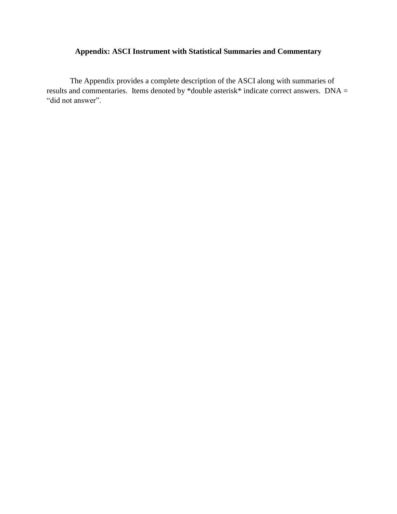# **Appendix: ASCI Instrument with Statistical Summaries and Commentary**

The Appendix provides a complete description of the ASCI along with summaries of results and commentaries. Items denoted by \*double asterisk\* indicate correct answers. DNA = "did not answer".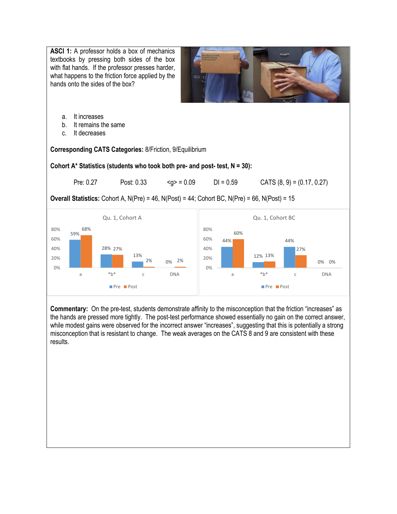

**Commentary:** On the pre-test, students demonstrate affinity to the misconception that the friction "increases" as the hands are pressed more tightly. The post-test performance showed essentially no gain on the correct answer, while modest gains were observed for the incorrect answer "increases", suggesting that this is potentially a strong misconception that is resistant to change. The weak averages on the CATS 8 and 9 are consistent with these results.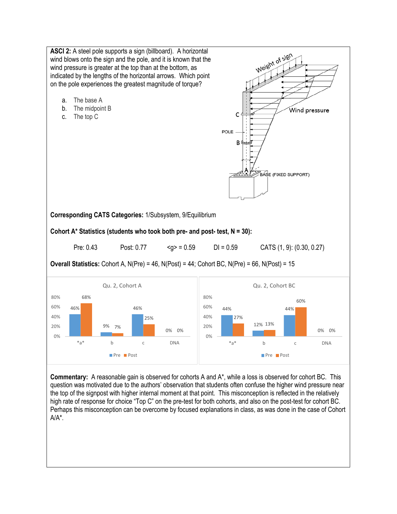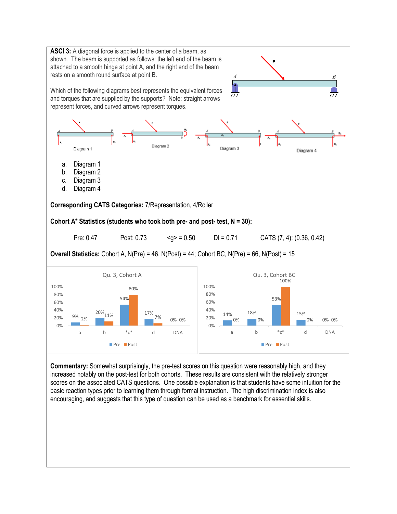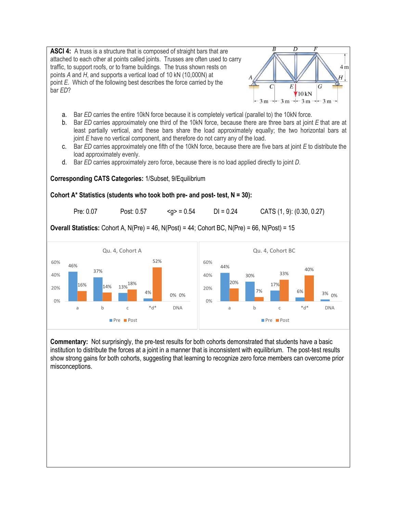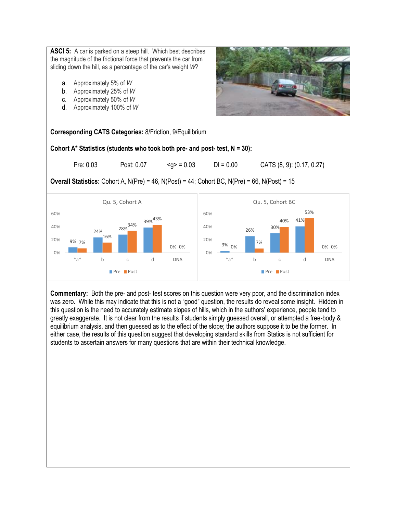**ASCI 5:** A car is parked on a steep hill. Which best describes the magnitude of the frictional force that prevents the car from sliding down the hill, as a percentage of the car's weight *W*?

- a. Approximately 5% of *W*
- b. Approximately 25% of *W*
- c. Approximately 50% of *W*
- d. Approximately 100% of *W*

**Corresponding CATS Categories:** 8/Friction, 9/Equilibrium

**Cohort A\* Statistics (students who took both pre- and post- test, N = 30):**

Pre: 0.03 Post: 0.07  $\leq q$  = 0.03 DI = 0.00 CATS (8, 9): (0.17, 0.27)

**Overall Statistics:** Cohort A, N(Pre) = 46, N(Post) = 44; Cohort BC, N(Pre) = 66, N(Post) = 15



**Commentary:** Both the pre- and post- test scores on this question were very poor, and the discrimination index was zero. While this may indicate that this is not a "good" question, the results do reveal some insight. Hidden in this question is the need to accurately estimate slopes of hills, which in the authors' experience, people tend to greatly exaggerate. It is not clear from the results if students simply guessed overall, or attempted a free-body & equilibrium analysis, and then guessed as to the effect of the slope; the authors suppose it to be the former. In either case, the results of this question suggest that developing standard skills from Statics is not sufficient for students to ascertain answers for many questions that are within their technical knowledge.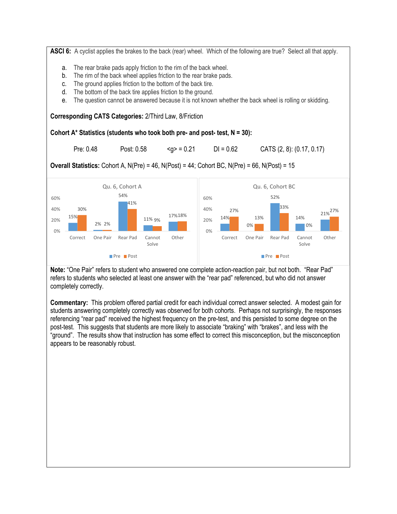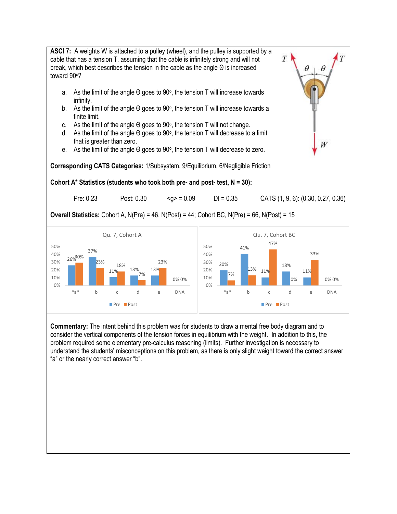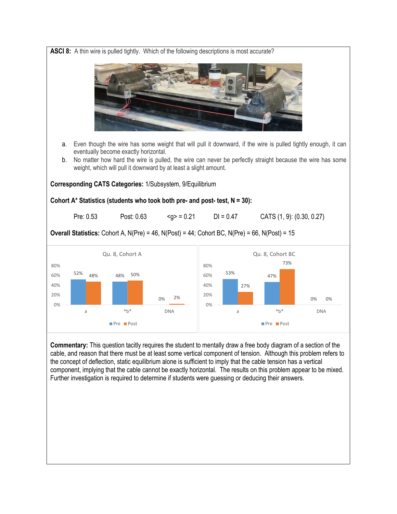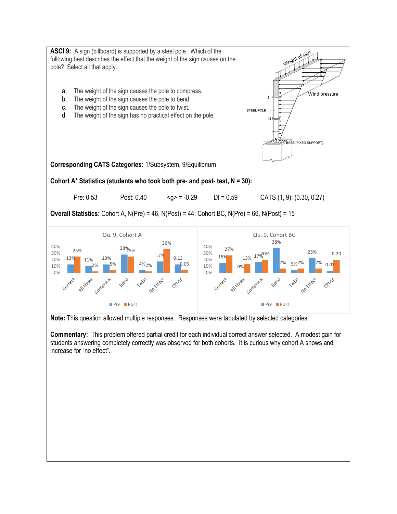